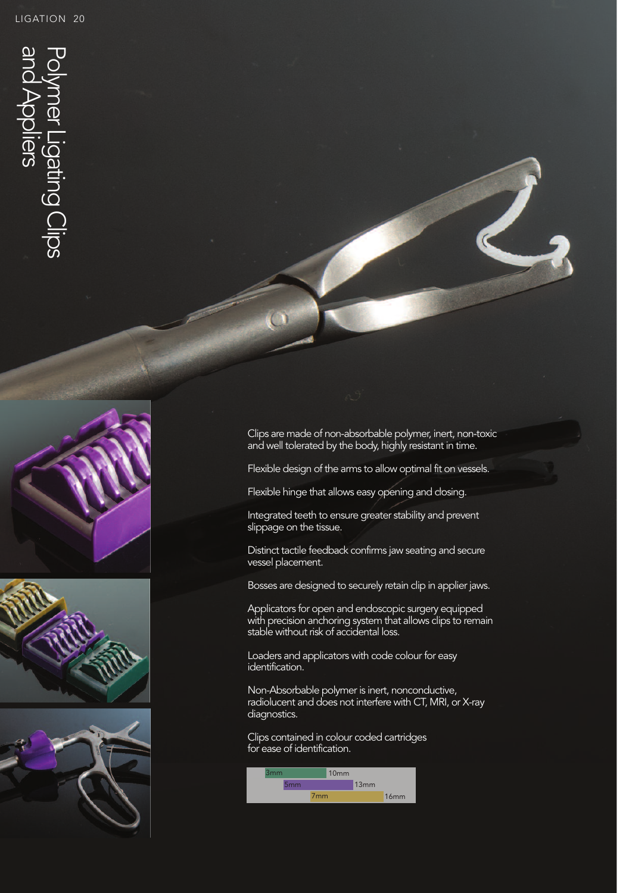$\overline{\mathbf{U}}$ 

 $\overline{\omega}$ 







Clips are made of non-absorbable polymer, inert, non-toxic and well tolerated by the body, highly resistant in time.

Flexible design of the arms to allow optimal fit on vessels.

Flexible hinge that allows easy opening and closing.

Integrated teeth to ensure greater stability and prevent slippage on the tissue.

Distinct tactile feedback confirms jaw seating and secure vessel placement.

Bosses are designed to securely retain clip in applier jaws.

Applicators for open and endoscopic surgery equipped with precision anchoring system that allows clips to remain stable without risk of accidental loss.

Loaders and applicators with code colour for easy identification.

Non-Absorbable polymer is inert, nonconductive, radiolucent and does not interfere with CT, MRI, or X-ray diagnostics.

Clips contained in colour coded cartridges for ease of identification.